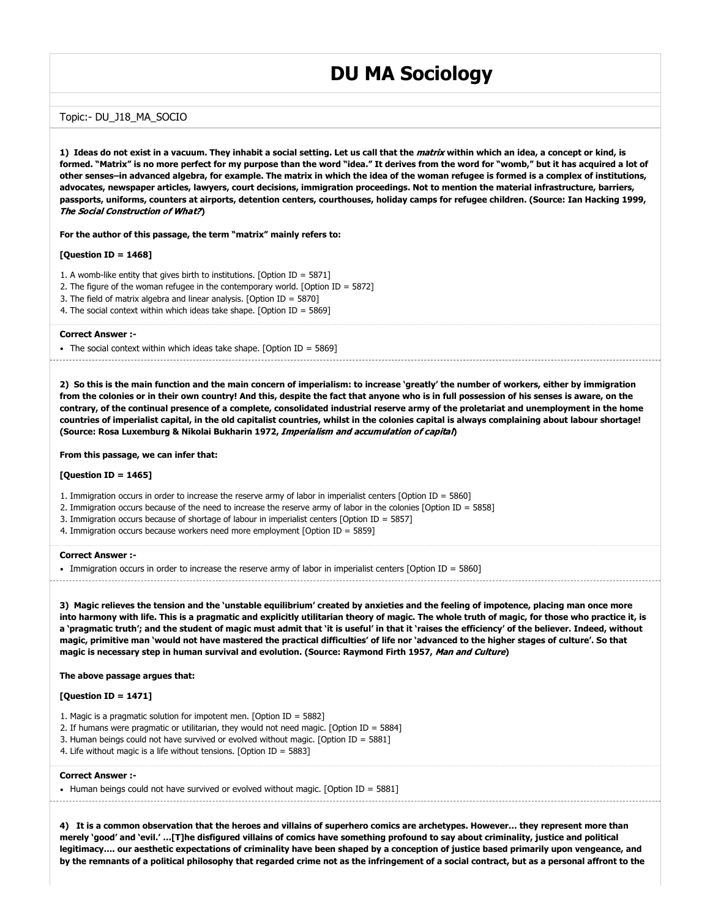# **DU MA Sociology**

# Topic:- DU\_J18\_MA\_SOCIO

**1) Ideas do not exist in a vacuum. They inhabit a social setting. Let us call that the** matrix **within which an idea, a concept or kind, is formed. "Matrix" is no more perfect for my purpose than the word "idea." It derives from the word for "womb," but it has acquired a lot of other senses–in advanced algebra, for example. The matrix in which the idea of the woman refugee is formed is a complex of institutions, advocates, newspaper articles, lawyers, court decisions, immigration proceedings. Not to mention the material infrastructure, barriers, passports, uniforms, counters at airports, detention centers, courthouses, holiday camps for refugee children. (Source: Ian Hacking 1999,** The Social Construction of What?**)**

**For the author of this passage, the term "matrix" mainly refers to:**

# **[Question ID = 1468]**

- 1. A womb-like entity that gives birth to institutions. [Option ID = 5871]
- 2. The figure of the woman refugee in the contemporary world. [Option ID = 5872]
- 3. The field of matrix algebra and linear analysis. [Option ID = 5870]
- 4. The social context within which ideas take shape. [Option ID = 5869]

#### **Correct Answer :-**

The social context within which ideas take shape. [Option ID =  $5869$ ]

**2) So this is the main function and the main concern of imperialism: to increase 'greatly' the number of workers, either by immigration from the colonies or in their own country! And this, despite the fact that anyone who is in full possession of his senses is aware, on the contrary, of the continual presence of a complete, consolidated industrial reserve army of the proletariat and unemployment in the home countries of imperialist capital, in the old capitalist countries, whilst in the colonies capital is always complaining about labour shortage! (Source: Rosa Luxemburg & Nikolai Bukharin 1972,** Imperialism and accumulation of capital**)**

#### **From this passage, we can infer that:**

# **[Question ID = 1465]**

- 1. Immigration occurs in order to increase the reserve army of labor in imperialist centers [Option ID = 5860]
- 2. Immigration occurs because of the need to increase the reserve army of labor in the colonies [Option ID = 5858]
- 3. Immigration occurs because of shortage of labour in imperialist centers [Option ID = 5857]
- 4. Immigration occurs because workers need more employment [Option ID = 5859]

#### **Correct Answer :-**

Immigration occurs in order to increase the reserve army of labor in imperialist centers [Option ID = 5860]

**3) Magic relieves the tension and the 'unstable equilibrium' created by anxieties and the feeling of impotence, placing man once more into harmony with life. This is a pragmatic and explicitly utilitarian theory of magic. The whole truth of magic, for those who practice it, is a 'pragmatic truth'; and the student of magic must admit that 'it is useful' in that it 'raises the efficiency' of the believer. Indeed, without magic, primitive man 'would not have mastered the practical difficulties' of life nor 'advanced to the higher stages of culture'. So that magic is necessary step in human survival and evolution. (Source: Raymond Firth 1957,** Man and Culture**)**

#### **The above passage argues that:**

# **[Question ID = 1471]**

- 1. Magic is a pragmatic solution for impotent men. [Option ID = 5882]
- 2. If humans were pragmatic or utilitarian, they would not need magic. [Option ID = 5884]
- 3. Human beings could not have survived or evolved without magic. [Option ID = 5881]
- 4. Life without magic is a life without tensions. [Option ID = 5883]

#### **Correct Answer :-**

• Human beings could not have survived or evolved without magic. [Option ID = 5881]

**4) It is a common observation that the heroes and villains of superhero comics are archetypes. However… they represent more than merely 'good' and 'evil.' …[T]he disfigured villains of comics have something profound to say about criminality, justice and political legitimacy…. our aesthetic expectations of criminality have been shaped by a conception of justice based primarily upon vengeance, and by the remnants of a political philosophy that regarded crime not as the infringement of a social contract, but as a personal affront to the**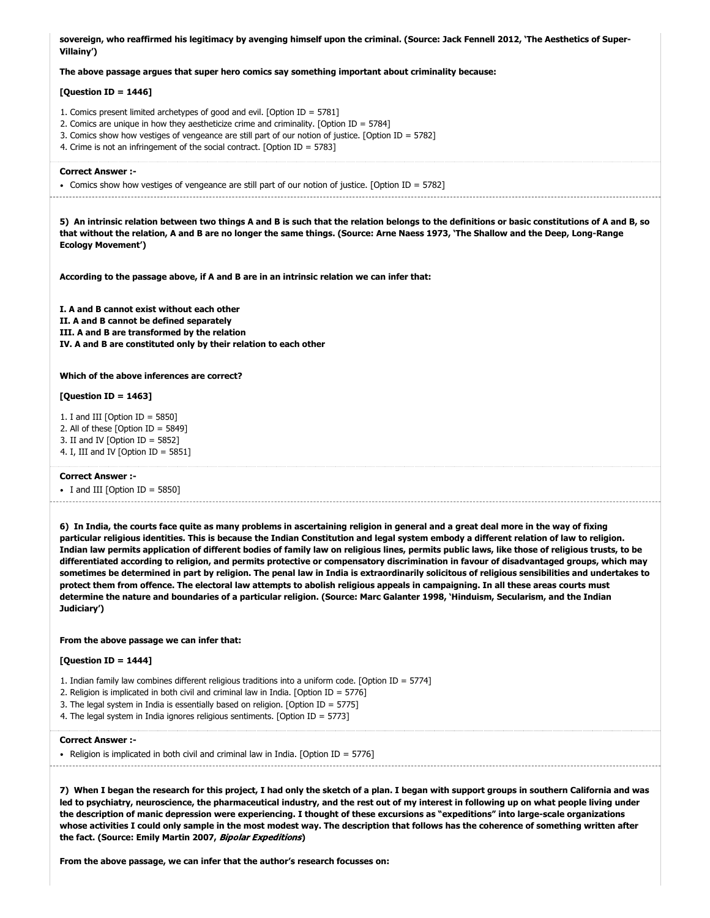**sovereign, who reaffirmed his legitimacy by avenging himself upon the criminal. (Source: Jack Fennell 2012, 'The Aesthetics of Super-Villainy')**

#### **The above passage argues that super hero comics say something important about criminality because:**

# **[Question ID = 1446]**

- 1. Comics present limited archetypes of good and evil. [Option ID = 5781]
- 2. Comics are unique in how they aestheticize crime and criminality. [Option ID = 5784]
- 3. Comics show how vestiges of vengeance are still part of our notion of justice. [Option ID = 5782]
- 4. Crime is not an infringement of the social contract. [Option ID = 5783]

#### **Correct Answer :-**

Comics show how vestiges of vengeance are still part of our notion of justice. [Option ID = 5782]

**5) An intrinsic relation between two things A and B is such that the relation belongs to the definitions or basic constitutions of A and B, so that without the relation, A and B are no longer the same things. (Source: Arne Naess 1973, 'The Shallow and the Deep, Long-Range Ecology Movement')**

**According to the passage above, if A and B are in an intrinsic relation we can infer that:**

**I. A and B cannot exist without each other II. A and B cannot be defined separately III. A and B are transformed by the relation IV. A and B are constituted only by their relation to each other**

# **Which of the above inferences are correct?**

#### **[Question ID = 1463]**

- 1. I and III [Option ID =  $5850$ ] 2. All of these [Option ID = 5849] 3. II and IV [Option ID =  $5852$ ]
- 4. I, III and IV [Option ID =  $5851$ ]

#### **Correct Answer :-**

 $\bullet$  I and III [Option ID = 5850]

**6) In India, the courts face quite as many problems in ascertaining religion in general and a great deal more in the way of fixing particular religious identities. This is because the Indian Constitution and legal system embody a different relation of law to religion. Indian law permits application of different bodies of family law on religious lines, permits public laws, like those of religious trusts, to be differentiated according to religion, and permits protective or compensatory discrimination in favour of disadvantaged groups, which may sometimes be determined in part by religion. The penal law in India is extraordinarily solicitous of religious sensibilities and undertakes to protect them from offence. The electoral law attempts to abolish religious appeals in campaigning. In all these areas courts must determine the nature and boundaries of a particular religion. (Source: Marc Galanter 1998, 'Hinduism, Secularism, and the Indian Judiciary')**

#### **From the above passage we can infer that:**

#### **[Question ID = 1444]**

- 1. Indian family law combines different religious traditions into a uniform code. [Option ID = 5774]
- 2. Religion is implicated in both civil and criminal law in India. [Option ID = 5776]
- 3. The legal system in India is essentially based on religion. [Option ID = 5775]
- 4. The legal system in India ignores religious sentiments. [Option ID = 5773]

#### **Correct Answer :-**

• Religion is implicated in both civil and criminal law in India. [Option ID = 5776]

**7) When I began the research for this project, I had only the sketch of a plan. I began with support groups in southern California and was led to psychiatry, neuroscience, the pharmaceutical industry, and the rest out of my interest in following up on what people living under the description of manic depression were experiencing. I thought of these excursions as "expeditions" into large-scale organizations whose activities I could only sample in the most modest way. The description that follows has the coherence of something written after the fact. (Source: Emily Martin 2007,** Bipolar Expeditions**)**

**From the above passage, we can infer that the author's research focusses on:**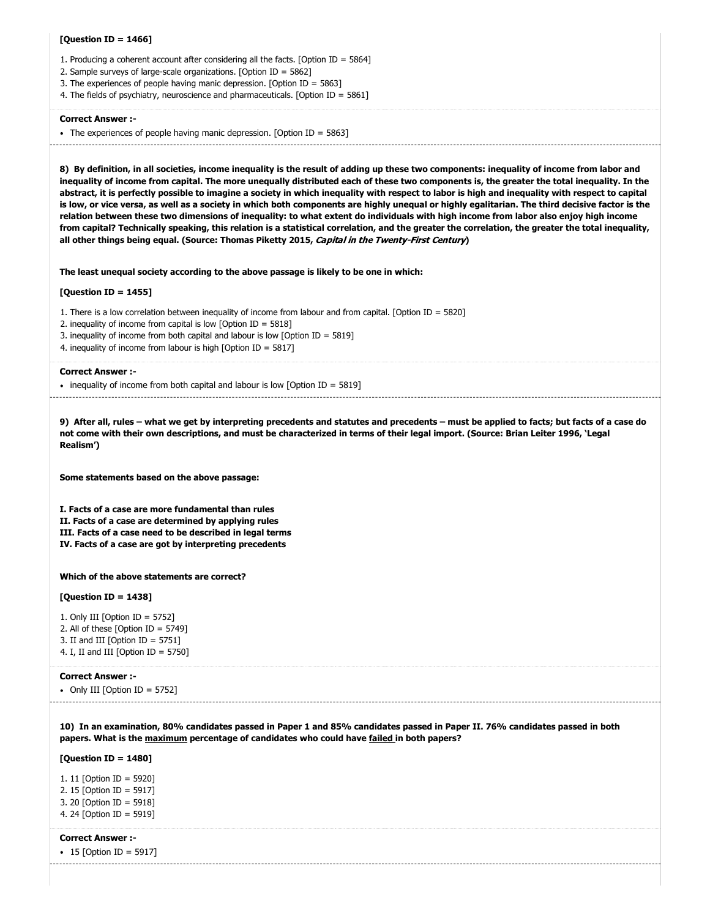# **[Question ID = 1466]**

- 1. Producing a coherent account after considering all the facts. [Option ID = 5864]
- 2. Sample surveys of large-scale organizations. [Option ID = 5862]
- 3. The experiences of people having manic depression. [Option ID = 5863]
- 4. The fields of psychiatry, neuroscience and pharmaceuticals. [Option ID = 5861]

#### **Correct Answer :-**

• The experiences of people having manic depression. [Option ID = 5863]

**8) By definition, in all societies, income inequality is the result of adding up these two components: inequality of income from labor and inequality of income from capital. The more unequally distributed each of these two components is, the greater the total inequality. In the abstract, it is perfectly possible to imagine a society in which inequality with respect to labor is high and inequality with respect to capital is low, or vice versa, as well as a society in which both components are highly unequal or highly egalitarian. The third decisive factor is the relation between these two dimensions of inequality: to what extent do individuals with high income from labor also enjoy high income from capital? Technically speaking, this relation is a statistical correlation, and the greater the correlation, the greater the total inequality, all other things being equal. (Source: Thomas Piketty 2015,** Capital in the Twenty-First Century**)**

**The least unequal society according to the above passage is likely to be one in which:**

# **[Question ID = 1455]**

1. There is a low correlation between inequality of income from labour and from capital. [Option ID = 5820]

2. inequality of income from capital is low [Option ID =  $5818$ ]

3. inequality of income from both capital and labour is low [Option ID = 5819]

4. inequality of income from labour is high [Option ID = 5817]

#### **Correct Answer :-**

• inequality of income from both capital and labour is low  $[Option ID = 5819]$ 

**9) After all, rules – what we get by interpreting precedents and statutes and precedents – must be applied to facts; but facts of a case do not come with their own descriptions, and must be characterized in terms of their legal import. (Source: Brian Leiter 1996, 'Legal Realism')**

**Some statements based on the above passage:**

**I. Facts of a case are more fundamental than rules II. Facts of a case are determined by applying rules III. Facts of a case need to be described in legal terms IV. Facts of a case are got by interpreting precedents**

#### **Which of the above statements are correct?**

# **[Question ID = 1438]**

1. Only III [Option ID = 5752] 2. All of these [Option ID = 5749] 3. II and III  $[Option ID = 5751]$ 4. I, II and III [Option ID =  $5750$ ]

#### **Correct Answer :-**

 $\bullet$  Only III [Option ID = 5752]

**10) In an examination, 80% candidates passed in Paper 1 and 85% candidates passed in Paper II. 76% candidates passed in both papers. What is the maximum percentage of candidates who could have failed in both papers?**

**[Question ID = 1480]**

1. 11 [Option ID = 5920] 2. 15 [Option ID = 5917] 3. 20 [Option ID = 5918] 4. 24 [Option ID = 5919]

#### **Correct Answer :-**

• 15 [Option ID = 5917]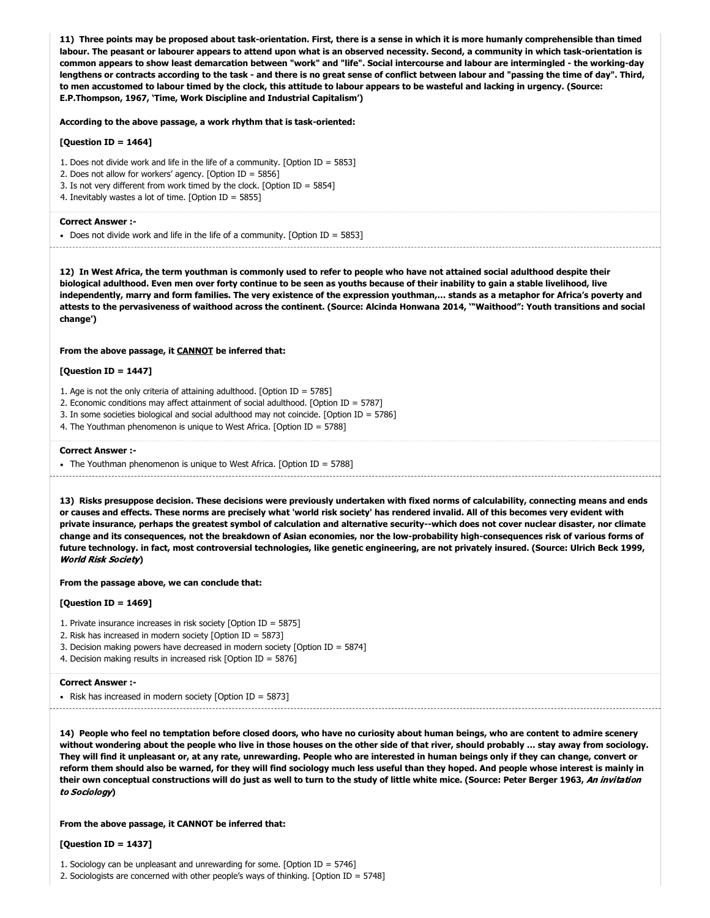**11) Three points may be proposed about task-orientation. First, there is a sense in which it is more humanly comprehensible than timed labour. The peasant or labourer appears to attend upon what is an observed necessity. Second, a community in which task-orientation is common appears to show least demarcation between "work" and "life". Social intercourse and labour are intermingled - the working-day lengthens or contracts according to the task - and there is no great sense of conflict between labour and "passing the time of day". Third, to men accustomed to labour timed by the clock, this attitude to labour appears to be wasteful and lacking in urgency. (Source: E.P.Thompson, 1967, 'Time, Work Discipline and Industrial Capitalism')**

# **According to the above passage, a work rhythm that is task-oriented:**

#### **[Question ID = 1464]**

- 1. Does not divide work and life in the life of a community. [Option ID = 5853]
- 2. Does not allow for workers' agency. [Option ID = 5856]
- 3. Is not very different from work timed by the clock. [Option ID = 5854]
- 4. Inevitably wastes a lot of time. [Option ID = 5855]

#### **Correct Answer :-**

Does not divide work and life in the life of a community. [Option ID = 5853]

**12) In West Africa, the term youthman is commonly used to refer to people who have not attained social adulthood despite their biological adulthood. Even men over forty continue to be seen as youths because of their inability to gain a stable livelihood, live independently, marry and form families. The very existence of the expression youthman,… stands as a metaphor for Africa's poverty and attests to the pervasiveness of waithood across the continent. (Source: Alcinda Honwana 2014, '"Waithood": Youth transitions and social change')**

#### **From the above passage, it CANNOT be inferred that:**

# **[Question ID = 1447]**

- 1. Age is not the only criteria of attaining adulthood. [Option ID = 5785]
- 2. Economic conditions may affect attainment of social adulthood. [Option ID = 5787]
- 3. In some societies biological and social adulthood may not coincide. [Option ID = 5786]
- 4. The Youthman phenomenon is unique to West Africa. [Option ID = 5788]

#### **Correct Answer :-**

• The Youthman phenomenon is unique to West Africa. [Option ID = 5788]

**13) Risks presuppose decision. These decisions were previously undertaken with fixed norms of calculability, connecting means and ends or causes and effects. These norms are precisely what 'world risk society' has rendered invalid. All of this becomes very evident with private insurance, perhaps the greatest symbol of calculation and alternative security--which does not cover nuclear disaster, nor climate change and its consequences, not the breakdown of Asian economies, nor the low-probability high-consequences risk of various forms of future technology. in fact, most controversial technologies, like genetic engineering, are not privately insured. (Source: Ulrich Beck 1999,** World Risk Society**)**

**From the passage above, we can conclude that:**

#### **[Question ID = 1469]**

- 1. Private insurance increases in risk society [Option ID = 5875]
- 2. Risk has increased in modern society [Option ID = 5873]
- 3. Decision making powers have decreased in modern society [Option ID = 5874]
- 4. Decision making results in increased risk [Option ID = 5876]

#### **Correct Answer :-**

- Risk has increased in modern society  $[Option ID = 5873]$ 

**14) People who feel no temptation before closed doors, who have no curiosity about human beings, who are content to admire scenery without wondering about the people who live in those houses on the other side of that river, should probably … stay away from sociology. They will find it unpleasant or, at any rate, unrewarding. People who are interested in human beings only if they can change, convert or reform them should also be warned, for they will find sociology much less useful than they hoped. And people whose interest is mainly in**

**their own conceptual constructions will do just as well to turn to the study of little white mice. (Source: Peter Berger 1963,** An invitation

**From the above passage, it CANNOT be inferred that:**

#### **[Question ID = 1437]**

to Sociology**)**

2. Sociologists are concerned with other people's ways of thinking. [Option ID = 5748]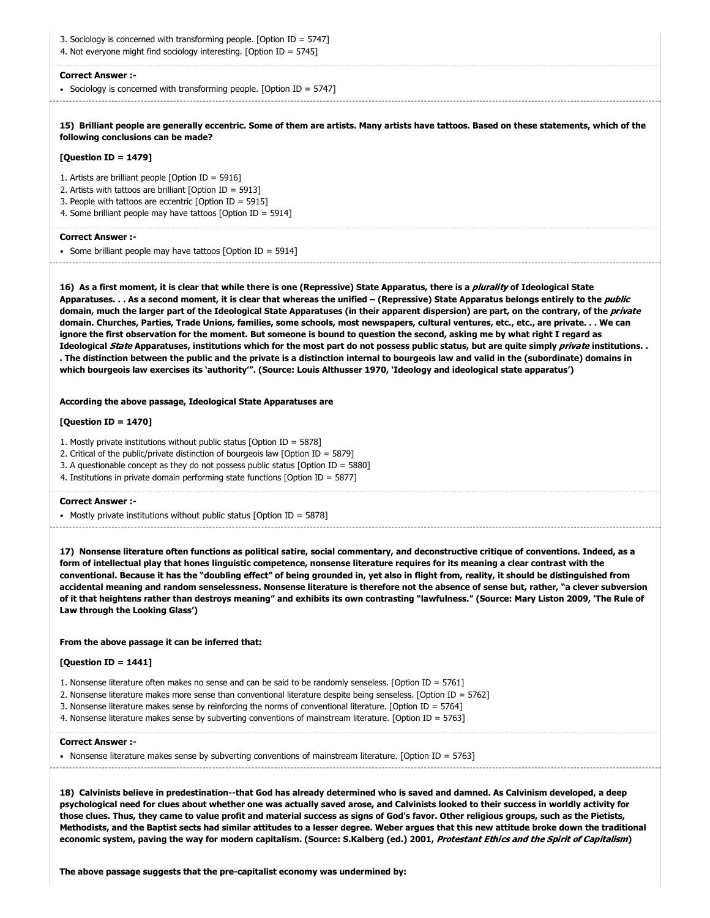- 3. Sociology is concerned with transforming people. [Option ID = 5747]
- 4. Not everyone might find sociology interesting. [Option ID = 5745]

• Sociology is concerned with transforming people. [Option ID = 5747]

**15) Brilliant people are generally eccentric. Some of them are artists. Many artists have tattoos. Based on these statements, which of the following conclusions can be made?**

#### **[Question ID = 1479]**

1. Artists are brilliant people [Option ID = 5916]

2. Artists with tattoos are brilliant [Option ID = 5913]

3. People with tattoos are eccentric [Option ID = 5915]

4. Some brilliant people may have tattoos [Option ID = 5914]

#### **Correct Answer :-**

• Some brilliant people may have tattoos  $[Option ID = 5914]$ 

**16) As a first moment, it is clear that while there is one (Repressive) State Apparatus, there is a** plurality **of Ideological State** Apparatuses. . . As a second moment, it is clear that whereas the unified - (Repressive) State Apparatus belongs entirely to the *public* **domain, much the larger part of the Ideological State Apparatuses (in their apparent dispersion) are part, on the contrary, of the** private **domain. Churches, Parties, Trade Unions, families, some schools, most newspapers, cultural ventures, etc., etc., are private. . . We can ignore the first observation for the moment. But someone is bound to question the second, asking me by what right I regard as Ideological** State **Apparatuses, institutions which for the most part do not possess public status, but are quite simply** private **institutions. . . The distinction between the public and the private is a distinction internal to bourgeois law and valid in the (subordinate) domains in which bourgeois law exercises its 'authority'". (Source: Louis Althusser 1970, 'Ideology and ideological state apparatus')**

#### **According the above passage, Ideological State Apparatuses are**

# **[Question ID = 1470]**

1. Mostly private institutions without public status [Option ID = 5878]

- 2. Critical of the public/private distinction of bourgeois law [Option ID = 5879]
- 3. A questionable concept as they do not possess public status [Option ID = 5880]

4. Institutions in private domain performing state functions [Option ID = 5877]

#### **Correct Answer :-**

• Mostly private institutions without public status [Option ID = 5878]

**17) Nonsense literature often functions as political satire, social commentary, and deconstructive critique of conventions. Indeed, as a form of intellectual play that hones linguistic competence, nonsense literature requires for its meaning a clear contrast with the conventional. Because it has the "doubling effect" of being grounded in, yet also in flight from, reality, it should be distinguished from accidental meaning and random senselessness. Nonsense literature is therefore not the absence of sense but, rather, "a clever subversion of it that heightens rather than destroys meaning" and exhibits its own contrasting "lawfulness." (Source: Mary Liston 2009, 'The Rule of Law through the Looking Glass')**

# **From the above passage it can be inferred that:**

#### **[Question ID = 1441]**

- 1. Nonsense literature often makes no sense and can be said to be randomly senseless. [Option ID = 5761]
- 2. Nonsense literature makes more sense than conventional literature despite being senseless. [Option ID = 5762]
- 3. Nonsense literature makes sense by reinforcing the norms of conventional literature. [Option ID = 5764]
- 4. Nonsense literature makes sense by subverting conventions of mainstream literature. [Option ID = 5763]

#### **Correct Answer :-**

• Nonsense literature makes sense by subverting conventions of mainstream literature. [Option ID = 5763]

**18) Calvinists believe in predestination--that God has already determined who is saved and damned. As Calvinism developed, a deep psychological need for clues about whether one was actually saved arose, and Calvinists looked to their success in worldly activity for those clues. Thus, they came to value profit and material success as signs of God's favor. Other religious groups, such as the Pietists, Methodists, and the Baptist sects had similar attitudes to a lesser degree. Weber argues that this new attitude broke down the traditional economic system, paving the way for modern capitalism. (Source: S.Kalberg (ed.) 2001,** Protestant Ethics and the Spirit of Capitalism**)**

**The above passage suggests that the pre-capitalist economy was undermined by:**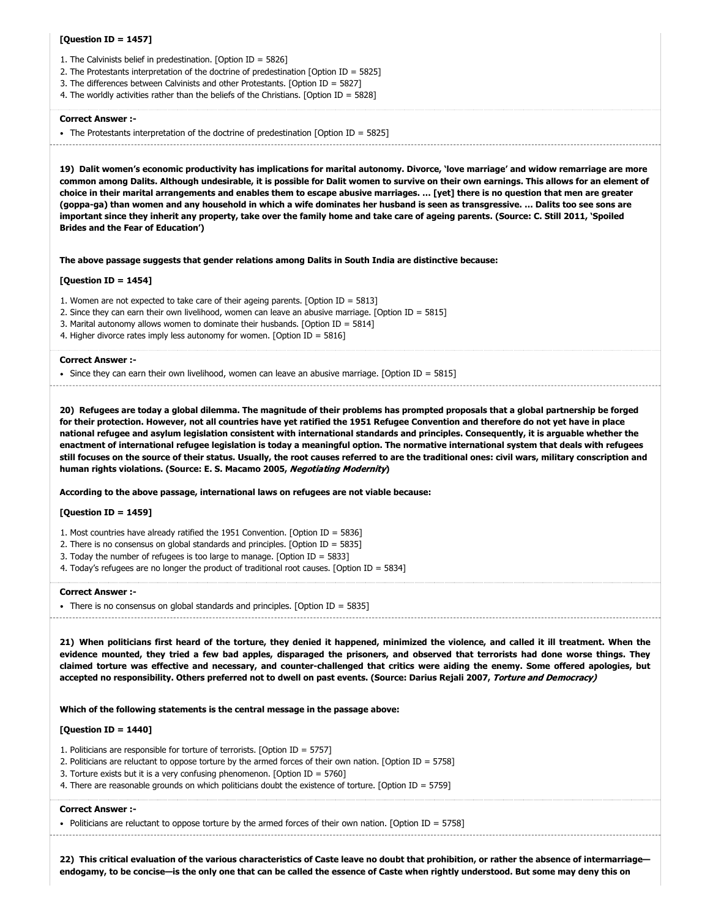# **[Question ID = 1457]**

- 1. The Calvinists belief in predestination. [Option ID = 5826]
- 2. The Protestants interpretation of the doctrine of predestination [Option ID = 5825]
- 3. The differences between Calvinists and other Protestants. [Option ID = 5827]
- 4. The worldly activities rather than the beliefs of the Christians. [Option ID = 5828]

#### **Correct Answer :-**

• The Protestants interpretation of the doctrine of predestination [Option ID = 5825]

**19) Dalit women's economic productivity has implications for marital autonomy. Divorce, 'love marriage' and widow remarriage are more common among Dalits. Although undesirable, it is possible for Dalit women to survive on their own earnings. This allows for an element of choice in their marital arrangements and enables them to escape abusive marriages. … [yet] there is no question that men are greater (goppa-ga) than women and any household in which a wife dominates her husband is seen as transgressive. … Dalits too see sons are important since they inherit any property, take over the family home and take care of ageing parents. (Source: C. Still 2011, 'Spoiled Brides and the Fear of Education')**

**The above passage suggests that gender relations among Dalits in South India are distinctive because:**

#### **[Question ID = 1454]**

- 1. Women are not expected to take care of their ageing parents. [Option ID = 5813]
- 2. Since they can earn their own livelihood, women can leave an abusive marriage. [Option ID = 5815]
- 3. Marital autonomy allows women to dominate their husbands. [Option ID = 5814]
- 4. Higher divorce rates imply less autonomy for women. [Option ID = 5816]

#### **Correct Answer :-**

 $\bullet$  Since they can earn their own livelihood, women can leave an abusive marriage. [Option ID = 5815]

**20) Refugees are today a global dilemma. The magnitude of their problems has prompted proposals that a global partnership be forged for their protection. However, not all countries have yet ratified the 1951 Refugee Convention and therefore do not yet have in place national refugee and asylum legislation consistent with international standards and principles. Consequently, it is arguable whether the enactment of international refugee legislation is today a meaningful option. The normative international system that deals with refugees still focuses on the source of their status. Usually, the root causes referred to are the traditional ones: civil wars, military conscription and human rights violations. (Source: E. S. Macamo 2005,** Negotiating Modernity**)**

**According to the above passage, international laws on refugees are not viable because:**

# **[Question ID = 1459]**

- 1. Most countries have already ratified the 1951 Convention. [Option ID = 5836]
- 2. There is no consensus on global standards and principles. [Option ID = 5835]
- 3. Today the number of refugees is too large to manage. [Option ID = 5833]
- 4. Today's refugees are no longer the product of traditional root causes. [Option ID = 5834]

#### **Correct Answer :-**

• There is no consensus on global standards and principles. [Option ID = 5835]

**21) When politicians first heard of the torture, they denied it happened, minimized the violence, and called it ill treatment. When the evidence mounted, they tried a few bad apples, disparaged the prisoners, and observed that terrorists had done worse things. They claimed torture was effective and necessary, and counter-challenged that critics were aiding the enemy. Some offered apologies, but** accepted no responsibility. Others preferred not to dwell on past events. (Source: Darius Rejali 2007, Torture and Democracy)

# **Which of the following statements is the central message in the passage above:**

# **[Question ID = 1440]**

- 1. Politicians are responsible for torture of terrorists. [Option ID = 5757]
- 2. Politicians are reluctant to oppose torture by the armed forces of their own nation. [Option ID = 5758]
- 3. Torture exists but it is a very confusing phenomenon. [Option ID = 5760]
- 4. There are reasonable grounds on which politicians doubt the existence of torture. [Option ID = 5759]

# **Correct Answer :-**

• Politicians are reluctant to oppose torture by the armed forces of their own nation. [Option ID = 5758]

**22) This critical evaluation of the various characteristics of Caste leave no doubt that prohibition, or rather the absence of intermarriage endogamy, to be concise—is the only one that can be called the essence of Caste when rightly understood. But some may deny this on**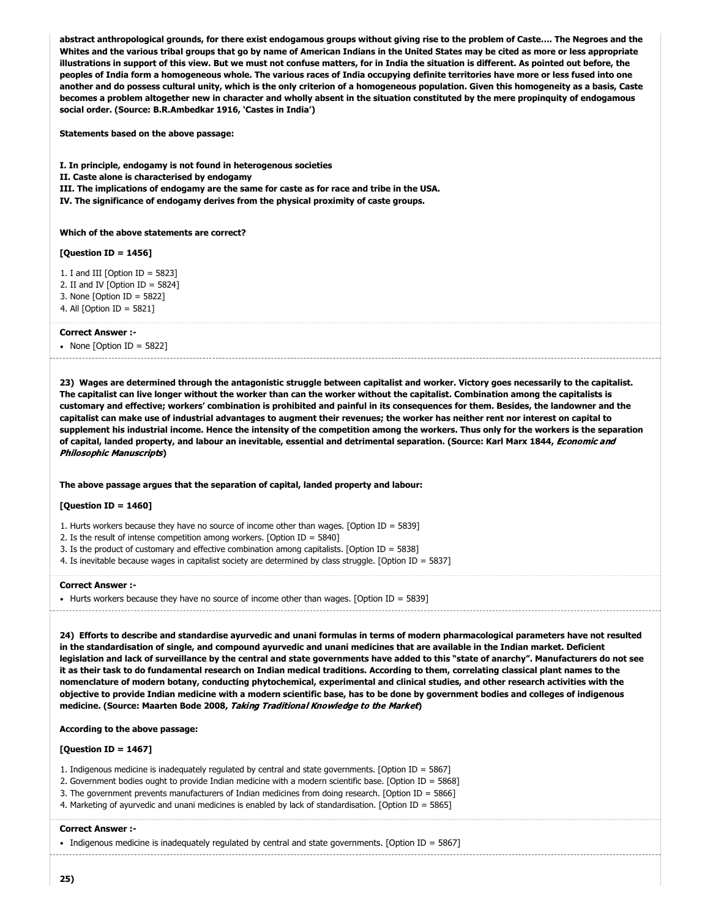**abstract anthropological grounds, for there exist endogamous groups without giving rise to the problem of Caste…. The Negroes and the Whites and the various tribal groups that go by name of American Indians in the United States may be cited as more or less appropriate illustrations in support of this view. But we must not confuse matters, for in India the situation is different. As pointed out before, the peoples of India form a homogeneous whole. The various races of India occupying definite territories have more or less fused into one another and do possess cultural unity, which is the only criterion of a homogeneous population. Given this homogeneity as a basis, Caste becomes a problem altogether new in character and wholly absent in the situation constituted by the mere propinquity of endogamous social order. (Source: B.R.Ambedkar 1916, 'Castes in India')**

**Statements based on the above passage:**

**I. In principle, endogamy is not found in heterogenous societies**

**II. Caste alone is characterised by endogamy**

**III. The implications of endogamy are the same for caste as for race and tribe in the USA.**

**IV. The significance of endogamy derives from the physical proximity of caste groups.**

**Which of the above statements are correct?**

# **[Question ID = 1456]**

1. I and III [Option ID =  $5823$ ]

2. II and IV  $[Option ID = 5824]$ 

3. None [Option ID = 5822] 4. All [Option ID = 5821]

**Correct Answer :-**

• None  $[Option ID = 5822]$ 

**23) Wages are determined through the antagonistic struggle between capitalist and worker. Victory goes necessarily to the capitalist. The capitalist can live longer without the worker than can the worker without the capitalist. Combination among the capitalists is customary and effective; workers' combination is prohibited and painful in its consequences for them. Besides, the landowner and the capitalist can make use of industrial advantages to augment their revenues; the worker has neither rent nor interest on capital to supplement his industrial income. Hence the intensity of the competition among the workers. Thus only for the workers is the separation of capital, landed property, and labour an inevitable, essential and detrimental separation. (Source: Karl Marx 1844,** Economic and Philosophic Manuscripts**)**

# **The above passage argues that the separation of capital, landed property and labour:**

# **[Question ID = 1460]**

1. Hurts workers because they have no source of income other than wages. [Option ID = 5839]

2. Is the result of intense competition among workers. [Option ID = 5840]

- 3. Is the product of customary and effective combination among capitalists. [Option ID = 5838]
- 4. Is inevitable because wages in capitalist society are determined by class struggle. [Option ID = 5837]

#### **Correct Answer :-**

• Hurts workers because they have no source of income other than wages. [Option ID = 5839]

**24) Efforts to describe and standardise ayurvedic and unani formulas in terms of modern pharmacological parameters have not resulted in the standardisation of single, and compound ayurvedic and unani medicines that are available in the Indian market. Deficient legislation and lack of surveillance by the central and state governments have added to this "state of anarchy". Manufacturers do not see it as their task to do fundamental research on Indian medical traditions. According to them, correlating classical plant names to the nomenclature of modern botany, conducting phytochemical, experimental and clinical studies, and other research activities with the objective to provide Indian medicine with a modern scientific base, has to be done by government bodies and colleges of indigenous medicine. (Source: Maarten Bode 2008,** Taking Traditional Knowledge to the Market**)**

**According to the above passage:**

#### **[Question ID = 1467]**

1. Indigenous medicine is inadequately regulated by central and state governments. [Option ID = 5867]

2. Government bodies ought to provide Indian medicine with a modern scientific base. [Option ID = 5868]

3. The government prevents manufacturers of Indian medicines from doing research. [Option ID = 5866]

4. Marketing of ayurvedic and unani medicines is enabled by lack of standardisation. [Option ID = 5865]

#### **Correct Answer :-**

Indigenous medicine is inadequately regulated by central and state governments. [Option ID =  $5867$ ]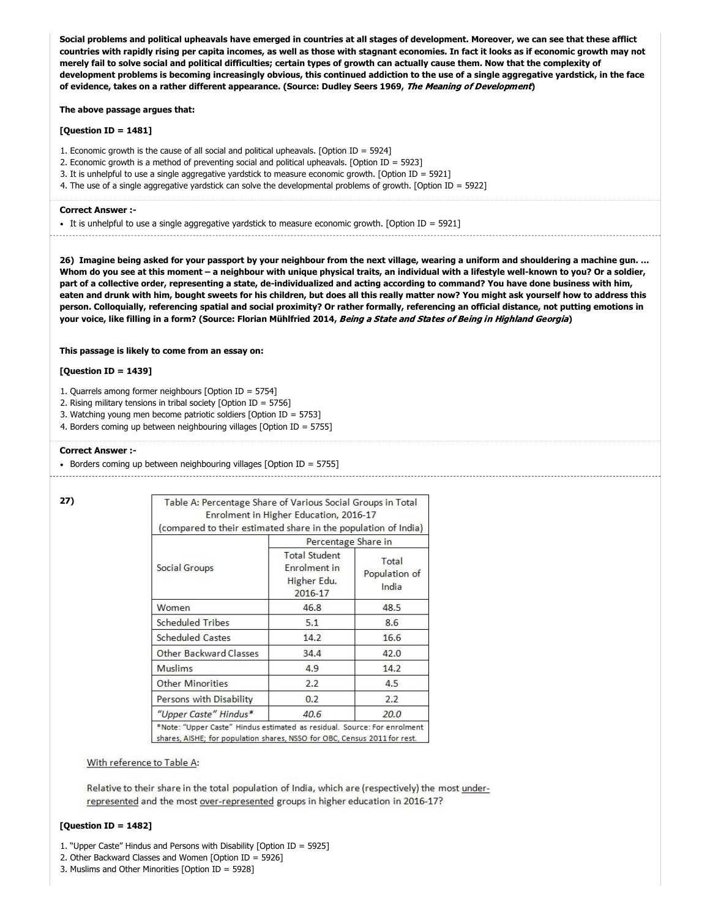**Social problems and political upheavals have emerged in countries at all stages of development. Moreover, we can see that these afflict countries with rapidly rising per capita incomes, as well as those with stagnant economies. In fact it looks as if economic growth may not merely fail to solve social and political difficulties; certain types of growth can actually cause them. Now that the complexity of development problems is becoming increasingly obvious, this continued addiction to the use of a single aggregative yardstick, in the face of evidence, takes on a rather different appearance. (Source: Dudley Seers 1969,** The Meaning of Development**)**

# **The above passage argues that:**

# **[Question ID = 1481]**

- 1. Economic growth is the cause of all social and political upheavals. [Option ID = 5924]
- 2. Economic growth is a method of preventing social and political upheavals. [Option ID = 5923]
- 3. It is unhelpful to use a single aggregative yardstick to measure economic growth. [Option ID = 5921]
- 4. The use of a single aggregative yardstick can solve the developmental problems of growth. [Option ID = 5922]

#### **Correct Answer :-**

• It is unhelpful to use a single aggregative yardstick to measure economic growth. [Option ID = 5921]

**26) Imagine being asked for your passport by your neighbour from the next village, wearing a uniform and shouldering a machine gun. … Whom do you see at this moment – a neighbour with unique physical traits, an individual with a lifestyle well-known to you? Or a soldier, part of a collective order, representing a state, de-individualized and acting according to command? You have done business with him, eaten and drunk with him, bought sweets for his children, but does all this really matter now? You might ask yourself how to address this person. Colloquially, referencing spatial and social proximity? Or rather formally, referencing an official distance, not putting emotions in your voice, like filling in a form? (Source: Florian Mühlfried 2014,** Being a State and States of Being in Highland Georgia**)**

# **This passage is likely to come from an essay on:**

# **[Question ID = 1439]**

- 1. Quarrels among former neighbours [Option ID = 5754]
- 2. Rising military tensions in tribal society [Option ID = 5756]
- 3. Watching young men become patriotic soldiers [Option ID = 5753]
- 4. Borders coming up between neighbouring villages [Option ID = 5755]

# **Correct Answer :-**

Borders coming up between neighbouring villages [Option ID = 5755]

|--|

| Table A: Percentage Share of Various Social Groups in Total                                                                                           | Enrolment in Higher Education, 2016-17                         |                                 |  |  |
|-------------------------------------------------------------------------------------------------------------------------------------------------------|----------------------------------------------------------------|---------------------------------|--|--|
| (compared to their estimated share in the population of India)                                                                                        |                                                                |                                 |  |  |
|                                                                                                                                                       | Percentage Share in                                            |                                 |  |  |
| Social Groups                                                                                                                                         | <b>Total Student</b><br>Enrolment in<br>Higher Edu.<br>2016-17 | Total<br>Population of<br>India |  |  |
| Women                                                                                                                                                 | 46.8                                                           | 48.5                            |  |  |
| <b>Scheduled Tribes</b>                                                                                                                               | 5.1                                                            | 8.6                             |  |  |
| <b>Scheduled Castes</b>                                                                                                                               | 14.2                                                           | 16.6                            |  |  |
| Other Backward Classes                                                                                                                                | 34.4                                                           | 42.0                            |  |  |
| Muslims                                                                                                                                               | 4.9                                                            | 14.2                            |  |  |
| <b>Other Minorities</b>                                                                                                                               | 2.2                                                            | 4.5                             |  |  |
| Persons with Disability                                                                                                                               | 0.2                                                            | 2.2                             |  |  |
| "Upper Caste" Hindus*                                                                                                                                 | 40.6                                                           | 20.0                            |  |  |
| *Note: "Upper Caste" Hindus estimated as residual. Source: For enrolment<br>shares, AISHE; for population shares, NSSO for OBC, Census 2011 for rest. |                                                                |                                 |  |  |

# With reference to Table A:

Relative to their share in the total population of India, which are (respectively) the most underrepresented and the most over-represented groups in higher education in 2016-17?

# **[Question ID = 1482]**

- 1. "Upper Caste" Hindus and Persons with Disability [Option ID = 5925]
- 2. Other Backward Classes and Women [Option ID = 5926]
- 3. Muslims and Other Minorities [Option ID = 5928]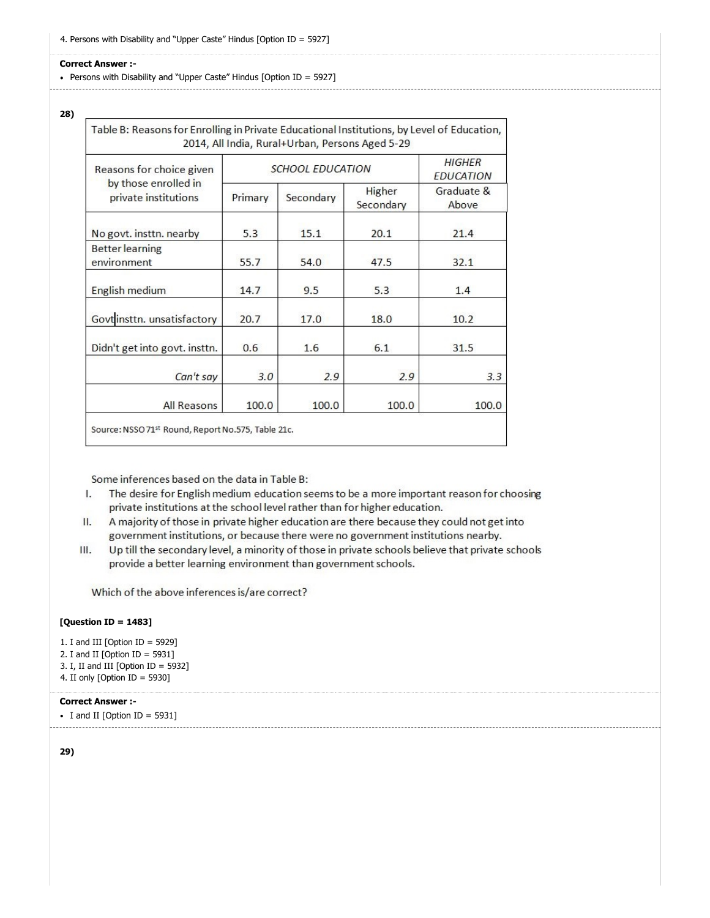• Persons with Disability and "Upper Caste" Hindus [Option ID = 5927]

# **28)**

| Reasons for choice given<br>by those enrolled in<br>private institutions | <b>SCHOOL EDUCATION</b> | HIGHER<br><b>EDUCATION</b> |                     |                     |
|--------------------------------------------------------------------------|-------------------------|----------------------------|---------------------|---------------------|
|                                                                          | Primary                 | Secondary                  | Higher<br>Secondary | Graduate &<br>Above |
| No govt. insttn. nearby                                                  | 5.3                     | 15.1                       | 20.1                | 21.4                |
| <b>Better</b> learning<br>environment                                    | 55.7                    | 54.0                       | 47.5                | 32.1                |
| English medium                                                           | 14.7                    | 9.5                        | 5.3                 | 1.4                 |
| Govt insttn. unsatisfactory                                              | 20.7                    | 17.0                       | 18.0                | 10.2                |
| Didn't get into govt. insttn.                                            | 0.6                     | 1.6                        | 6.1                 | 31.5                |
| Can't say                                                                | 3.0                     | 2.9                        | 2.9                 | 3.3                 |
| <b>All Reasons</b>                                                       | 100.0                   | 100.0                      | 100.0               | 100.0               |

Some inferences based on the data in Table B:

- The desire for English medium education seems to be a more important reason for choosing L. private institutions at the school level rather than for higher education.
- A majority of those in private higher education are there because they could not get into II. government institutions, or because there were no government institutions nearby.
- Up till the secondary level, a minority of those in private schools believe that private schools Ш. provide a better learning environment than government schools.

Which of the above inferences is/are correct?

# **[Question ID = 1483]**

- 1. I and III [Option ID = 5929]
- 2. I and II [Option ID = 5931]
- 3. I, II and III [Option ID = 5932]
- 4. II only [Option ID = 5930]

# **Correct Answer :-**

```
\bullet I and II [Option ID = 5931]
```
**29)**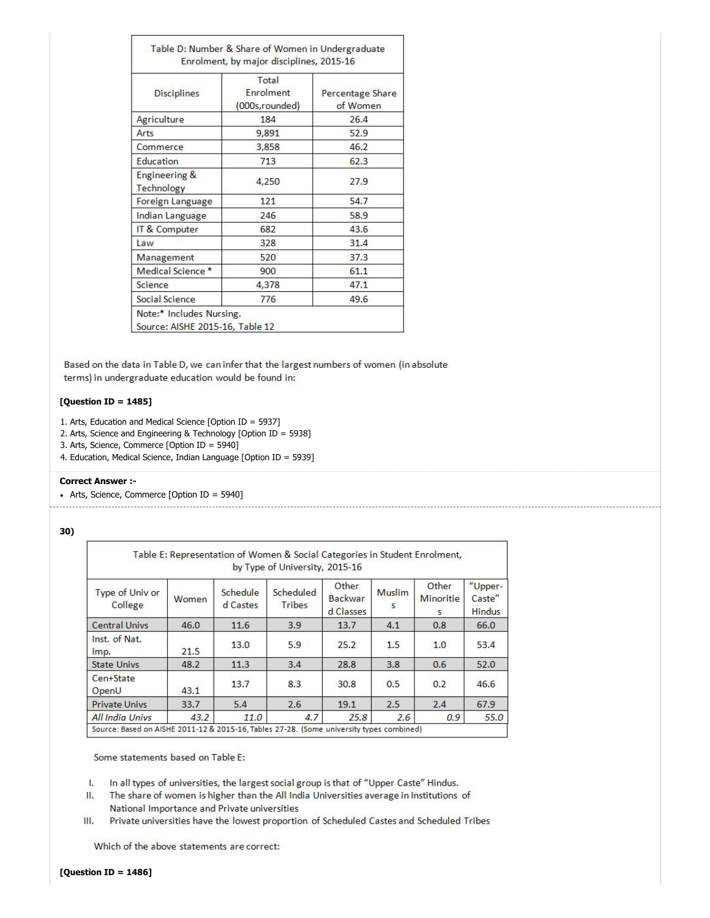| <b>Disciplines</b>                     | Total<br>Enrolment<br>(000s, rounded) | Percentage Share<br>of Women |  |  |
|----------------------------------------|---------------------------------------|------------------------------|--|--|
| Agriculture                            | 184                                   | 26.4                         |  |  |
| Arts                                   | 9,891                                 | 52.9                         |  |  |
| Commerce                               | 3,858                                 | 46.2                         |  |  |
| Education                              | 713                                   | 62.3                         |  |  |
| <b>Engineering &amp;</b><br>Technology | 4,250                                 | 27.9                         |  |  |
| Foreign Language                       | 121                                   | 54.7                         |  |  |
| Indian Language                        | 246                                   | 58.9                         |  |  |
| IT & Computer                          | 682                                   | 43.6                         |  |  |
| Law                                    | 328                                   | 31.4                         |  |  |
| Management                             | 520                                   | 37.3                         |  |  |
| Medical Science*                       | 900                                   | 61.1                         |  |  |
| Science                                | 4,378                                 | 47.1                         |  |  |
| Social Science                         | 776                                   | 49.6                         |  |  |

Based on the data in Table D, we can infer that the largest numbers of women (in absolute terms) in undergraduate education would be found in:

# **[Question ID = 1485]**

- 1. Arts, Education and Medical Science [Option ID = 5937]
- 2. Arts, Science and Engineering & Technology [Option ID = 5938]
- 3. Arts, Science, Commerce [Option ID = 5940]
- 4. Education, Medical Science, Indian Language [Option ID = 5939]

# **Correct Answer :-**

• Arts, Science, Commerce [Option ID = 5940] 

**30)** 

|                                                                                         |       |                      | Table E: Representation of Women & Social Categories in Student Enrolment,<br>by Type of University, 2015-16 |                                      |                        |                                |                                    |
|-----------------------------------------------------------------------------------------|-------|----------------------|--------------------------------------------------------------------------------------------------------------|--------------------------------------|------------------------|--------------------------------|------------------------------------|
| Type of Univ or<br>College                                                              | Women | Schedule<br>d Castes | Scheduled<br><b>Tribes</b>                                                                                   | Other<br><b>Backwar</b><br>d Classes | Muslim<br>$\mathsf{s}$ | Other<br><b>Minoritie</b><br>5 | "Upper-<br>Caste"<br><b>Hindus</b> |
| <b>Central Univs</b>                                                                    | 46.0  | 11.6                 | 3.9                                                                                                          | 13.7                                 | 4.1                    | 0.8                            | 66.0                               |
| Inst. of Nat.<br>Imp.                                                                   | 21.5  | 13.0                 | 5.9                                                                                                          | 25.2                                 | 1.5                    | 1.0                            | 53.4                               |
| <b>State Univs</b>                                                                      | 48.2  | 11.3                 | 3.4                                                                                                          | 28.8                                 | 3.8                    | 0.6                            | 52.0                               |
| Cen+State<br>OpenU                                                                      | 43.1  | 13.7                 | 8.3                                                                                                          | 30.8                                 | 0.5                    | 0.2                            | 46.6                               |
| <b>Private Univs</b>                                                                    | 33.7  | 5.4                  | 2.6                                                                                                          | 19.1                                 | 2.5                    | 2.4                            | 67.9                               |
| <b>All India Univs</b>                                                                  | 43.2  | 11.0                 | 4.7                                                                                                          | 25.8                                 | 2.6                    | 0.9                            | 55.0                               |
| Source: Based on AISHE 2011-12 & 2015-16 Tables 27-28. (Some university types combined) |       |                      |                                                                                                              |                                      |                        |                                |                                    |

Some statements based on Table E:

In all types of universities, the largest social group is that of "Upper Caste" Hindus. L.

- Ш. The share of women is higher than the All India Universities average in Institutions of National Importance and Private universities
- III. Private universities have the lowest proportion of Scheduled Castes and Scheduled Tribes

Which of the above statements are correct: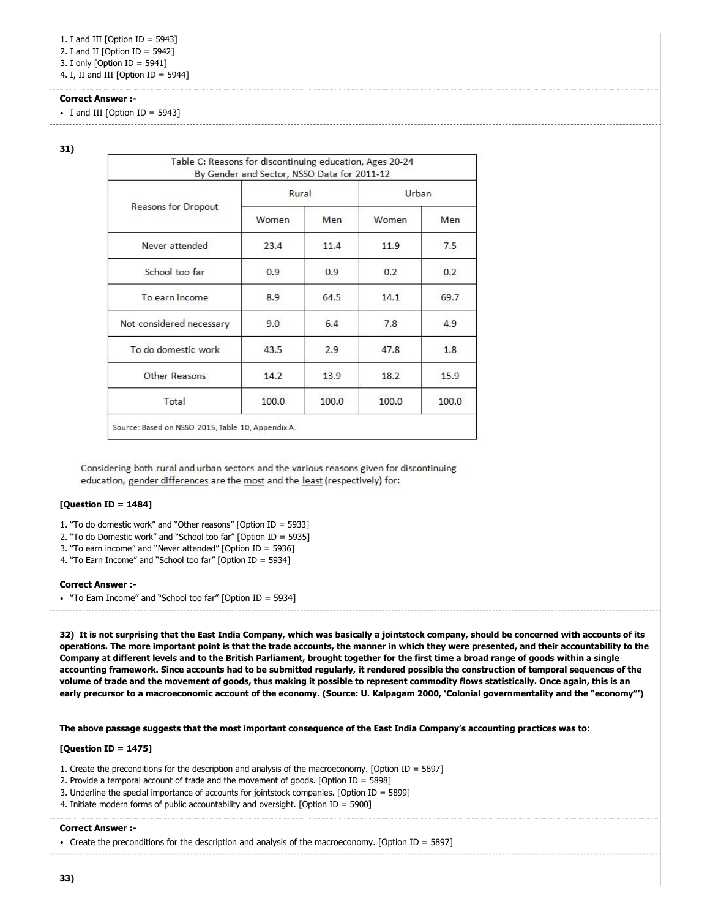1. I and III [Option ID = 5943]

2. I and II [Option ID = 5942]

3. I only [Option ID = 5941]

4. I, II and III [Option ID = 5944]

# **Correct Answer :-**

 $\bullet$  I and III [Option ID = 5943]

**31)** 

|                            | Rural |       | Urban. |       |  |
|----------------------------|-------|-------|--------|-------|--|
| <b>Reasons for Dropout</b> | Women | Men   | Women  | Men   |  |
| Never attended             | 23.4  | 11.4  | 11.9   | 7.5   |  |
| School too far             | 0.9   | 0.9   | 0.2    | 0.2   |  |
| To earn income             | 8.9   | 64.5  | 14.1   | 69.7  |  |
| Not considered necessary   | 9.0   | 6.4   | 7.8    | 4.9   |  |
| To do domestic work        | 43.5  | 2.9   | 47.8   | 1.8   |  |
| Other Reasons              | 14.2  | 13.9  | 18.2   | 15.9  |  |
| Total                      | 100.0 | 100.0 | 100.0  | 100.0 |  |

Considering both rural and urban sectors and the various reasons given for discontinuing education, gender differences are the most and the least (respectively) for:

# **[Question ID = 1484]**

1. "To do domestic work" and "Other reasons" [Option ID = 5933]

2. "To do Domestic work" and "School too far" [Option ID = 5935]

3. "To earn income" and "Never attended" [Option ID = 5936]

4. "To Earn Income" and "School too far" [Option ID = 5934]

# **Correct Answer :-**

"To Earn Income" and "School too far" [Option ID = 5934]

**32) It is not surprising that the East India Company, which was basically a jointstock company, should be concerned with accounts of its operations. The more important point is that the trade accounts, the manner in which they were presented, and their accountability to the Company at different levels and to the British Parliament, brought together for the first time a broad range of goods within a single accounting framework. Since accounts had to be submitted regularly, it rendered possible the construction of temporal sequences of the volume of trade and the movement of goods, thus making it possible to represent commodity flows statistically. Once again, this is an early precursor to a macroeconomic account of the economy. (Source: U. Kalpagam 2000, 'Colonial governmentality and the "economy"')**

**The above passage suggests that the most important consequence of the East India Company's accounting practices was to:**

# **[Question ID = 1475]**

1. Create the preconditions for the description and analysis of the macroeconomy. [Option ID = 5897]

2. Provide a temporal account of trade and the movement of goods. [Option ID = 5898]

3. Underline the special importance of accounts for jointstock companies. [Option ID = 5899]

4. Initiate modern forms of public accountability and oversight. [Option ID = 5900]

# **Correct Answer :-**

Create the preconditions for the description and analysis of the macroeconomy. [Option ID = 5897]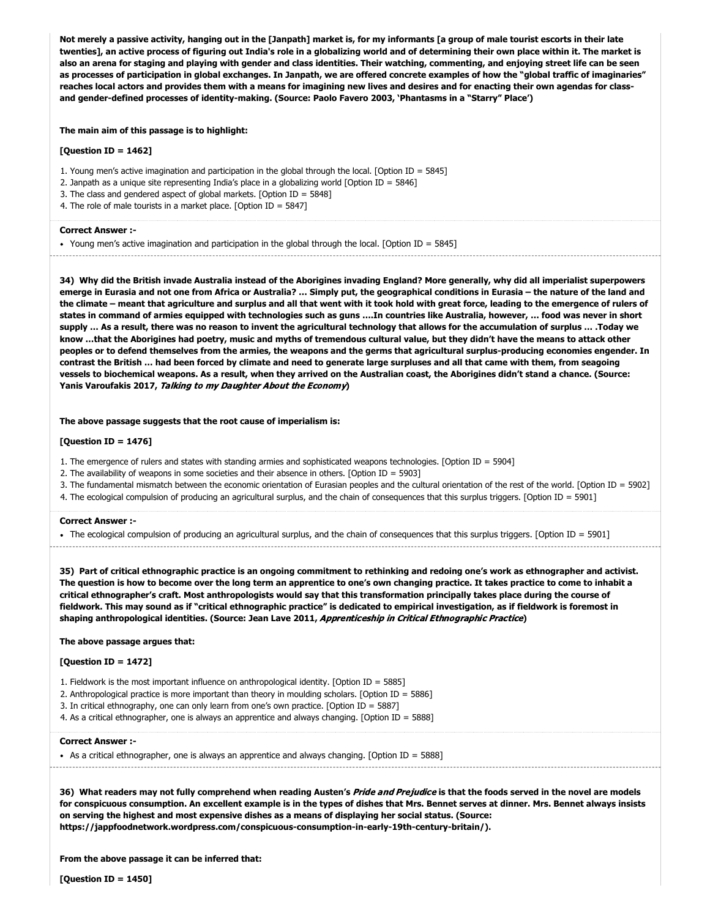**Not merely a passive activity, hanging out in the [Janpath] market is, for my informants [a group of male tourist escorts in their late twenties], an active process of figuring out India's role in a globalizing world and of determining their own place within it. The market is also an arena for staging and playing with gender and class identities. Their watching, commenting, and enjoying street life can be seen as processes of participation in global exchanges. In Janpath, we are offered concrete examples of how the "global traffic of imaginaries" reaches local actors and provides them with a means for imagining new lives and desires and for enacting their own agendas for classand gender-defined processes of identity-making. (Source: Paolo Favero 2003, 'Phantasms in a "Starry" Place')**

**The main aim of this passage is to highlight:**

# **[Question ID = 1462]**

1. Young men's active imagination and participation in the global through the local. [Option ID = 5845]

- 2. Janpath as a unique site representing India's place in a globalizing world [Option ID = 5846]
- 3. The class and gendered aspect of global markets. [Option ID = 5848]
- 4. The role of male tourists in a market place. [Option ID = 5847]

# **Correct Answer :-**

Young men's active imagination and participation in the global through the local. [Option ID = 5845]

**34) Why did the British invade Australia instead of the Aborigines invading England? More generally, why did all imperialist superpowers emerge in Eurasia and not one from Africa or Australia? … Simply put, the geographical conditions in Eurasia – the nature of the land and the climate – meant that agriculture and surplus and all that went with it took hold with great force, leading to the emergence of rulers of states in command of armies equipped with technologies such as guns ….In countries like Australia, however, … food was never in short supply … As a result, there was no reason to invent the agricultural technology that allows for the accumulation of surplus … .Today we know …that the Aborigines had poetry, music and myths of tremendous cultural value, but they didn't have the means to attack other peoples or to defend themselves from the armies, the weapons and the germs that agricultural surplus-producing economies engender. In contrast the British … had been forced by climate and need to generate large surpluses and all that came with them, from seagoing vessels to biochemical weapons. As a result, when they arrived on the Australian coast, the Aborigines didn't stand a chance. (Source: Yanis Varoufakis 2017,** Talking to my Daughter About the Economy**)**

#### **The above passage suggests that the root cause of imperialism is:**

# **[Question ID = 1476]**

- 1. The emergence of rulers and states with standing armies and sophisticated weapons technologies. [Option ID = 5904]
- 2. The availability of weapons in some societies and their absence in others. [Option ID = 5903]
- 3. The fundamental mismatch between the economic orientation of Eurasian peoples and the cultural orientation of the rest of the world. [Option ID = 5902]
- 4. The ecological compulsion of producing an agricultural surplus, and the chain of consequences that this surplus triggers. [Option ID = 5901]

#### **Correct Answer :-**

The ecological compulsion of producing an agricultural surplus, and the chain of consequences that this surplus triggers. [Option ID = 5901] 

**35) Part of critical ethnographic practice is an ongoing commitment to rethinking and redoing one's work as ethnographer and activist. The question is how to become over the long term an apprentice to one's own changing practice. It takes practice to come to inhabit a critical ethnographer's craft. Most anthropologists would say that this transformation principally takes place during the course of fieldwork. This may sound as if "critical ethnographic practice" is dedicated to empirical investigation, as if fieldwork is foremost in shaping anthropological identities. (Source: Jean Lave 2011,** Apprenticeship in Critical Ethnographic Practice**)**

# **The above passage argues that:**

# **[Question ID = 1472]**

- 1. Fieldwork is the most important influence on anthropological identity. [Option ID = 5885]
- 2. Anthropological practice is more important than theory in moulding scholars. [Option ID = 5886]
- 3. In critical ethnography, one can only learn from one's own practice. [Option ID = 5887]
- 4. As a critical ethnographer, one is always an apprentice and always changing. [Option ID = 5888]

#### **Correct Answer :-**

• As a critical ethnographer, one is always an apprentice and always changing. [Option ID = 5888]

**36) What readers may not fully comprehend when reading Austen's** Pride and Prejudice **is that the foods served in the novel are models for conspicuous consumption. An excellent example is in the types of dishes that Mrs. Bennet serves at dinner. Mrs. Bennet always insists on serving the highest and most expensive dishes as a means of displaying her social status. (Source: https://jappfoodnetwork.wordpress.com/conspicuous-consumption-in-early-19th-century-britain/).**

**From the above passage it can be inferred that:**

**[Question ID = 1450]**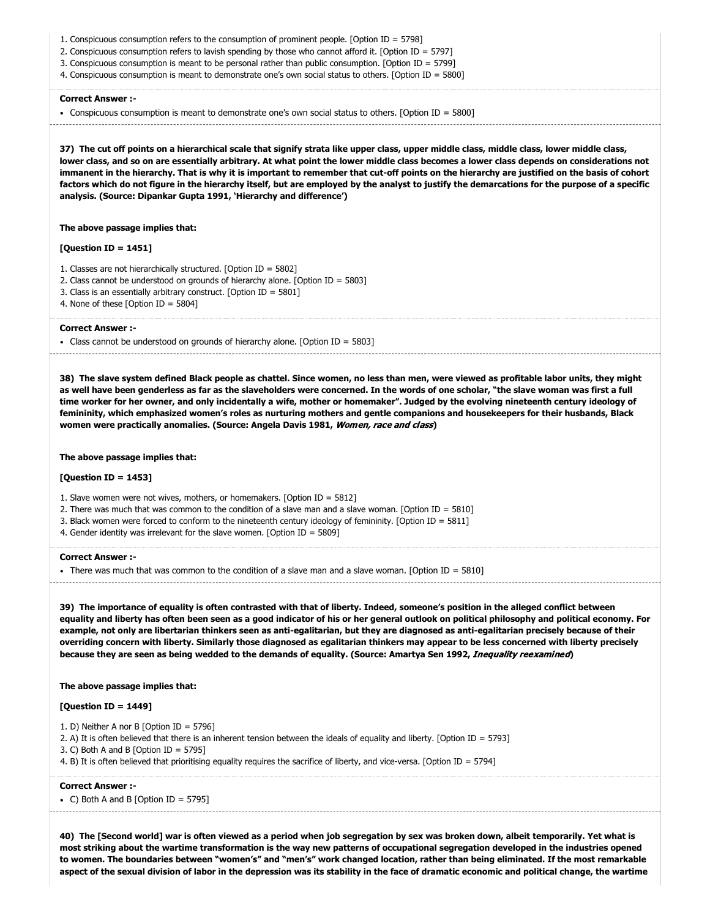- 1. Conspicuous consumption refers to the consumption of prominent people. [Option ID = 5798]
- 2. Conspicuous consumption refers to lavish spending by those who cannot afford it. [Option ID = 5797]
- 3. Conspicuous consumption is meant to be personal rather than public consumption. [Option ID = 5799]
- 4. Conspicuous consumption is meant to demonstrate one's own social status to others. [Option ID = 5800]

Conspicuous consumption is meant to demonstrate one's own social status to others. [Option ID = 5800]

**37) The cut off points on a hierarchical scale that signify strata like upper class, upper middle class, middle class, lower middle class, lower class, and so on are essentially arbitrary. At what point the lower middle class becomes a lower class depends on considerations not immanent in the hierarchy. That is why it is important to remember that cut-off points on the hierarchy are justified on the basis of cohort factors which do not figure in the hierarchy itself, but are employed by the analyst to justify the demarcations for the purpose of a specific analysis. (Source: Dipankar Gupta 1991, 'Hierarchy and difference')**

#### **The above passage implies that:**

# **[Question ID = 1451]**

- 1. Classes are not hierarchically structured. [Option ID = 5802]
- 2. Class cannot be understood on grounds of hierarchy alone. [Option ID = 5803]
- 3. Class is an essentially arbitrary construct. [Option ID = 5801]
- 4. None of these [Option ID = 5804]

# **Correct Answer :-**

Class cannot be understood on grounds of hierarchy alone. [Option ID = 5803]

**38) The slave system defined Black people as chattel. Since women, no less than men, were viewed as profitable labor units, they might as well have been genderless as far as the slaveholders were concerned. In the words of one scholar, "the slave woman was first a full time worker for her owner, and only incidentally a wife, mother or homemaker". Judged by the evolving nineteenth century ideology of femininity, which emphasized women's roles as nurturing mothers and gentle companions and housekeepers for their husbands, Black women were practically anomalies. (Source: Angela Davis 1981,** Women, race and class**)**

**The above passage implies that:**

# **[Question ID = 1453]**

1. Slave women were not wives, mothers, or homemakers. [Option ID = 5812]

- 2. There was much that was common to the condition of a slave man and a slave woman. [Option ID = 5810]
- 3. Black women were forced to conform to the nineteenth century ideology of femininity. [Option ID = 5811]
- 4. Gender identity was irrelevant for the slave women. [Option  $ID = 5809$ ]

#### **Correct Answer :-**

There was much that was common to the condition of a slave man and a slave woman. [Option ID = 5810]

**39) The importance of equality is often contrasted with that of liberty. Indeed, someone's position in the alleged conflict between equality and liberty has often been seen as a good indicator of his or her general outlook on political philosophy and political economy. For example, not only are libertarian thinkers seen as anti-egalitarian, but they are diagnosed as anti-egalitarian precisely because of their overriding concern with liberty. Similarly those diagnosed as egalitarian thinkers may appear to be less concerned with liberty precisely because they are seen as being wedded to the demands of equality. (Source: Amartya Sen 1992,** Inequality reexamined**)**

#### **The above passage implies that:**

# **[Question ID = 1449]**

- 1. D) Neither A nor B [Option ID = 5796]
- 2. A) It is often believed that there is an inherent tension between the ideals of equality and liberty. [Option ID = 5793]
- 3. C) Both A and B [Option ID = 5795]
- 4. B) It is often believed that prioritising equality requires the sacrifice of liberty, and vice-versa. [Option ID = 5794]

#### **Correct Answer :-**

• C) Both A and B [Option ID = 5795]

**40) The [Second world] war is often viewed as a period when job segregation by sex was broken down, albeit temporarily. Yet what is most striking about the wartime transformation is the way new patterns of occupational segregation developed in the industries opened to women. The boundaries between "women's" and "men's" work changed location, rather than being eliminated. If the most remarkable aspect of the sexual division of labor in the depression was its stability in the face of dramatic economic and political change, the wartime**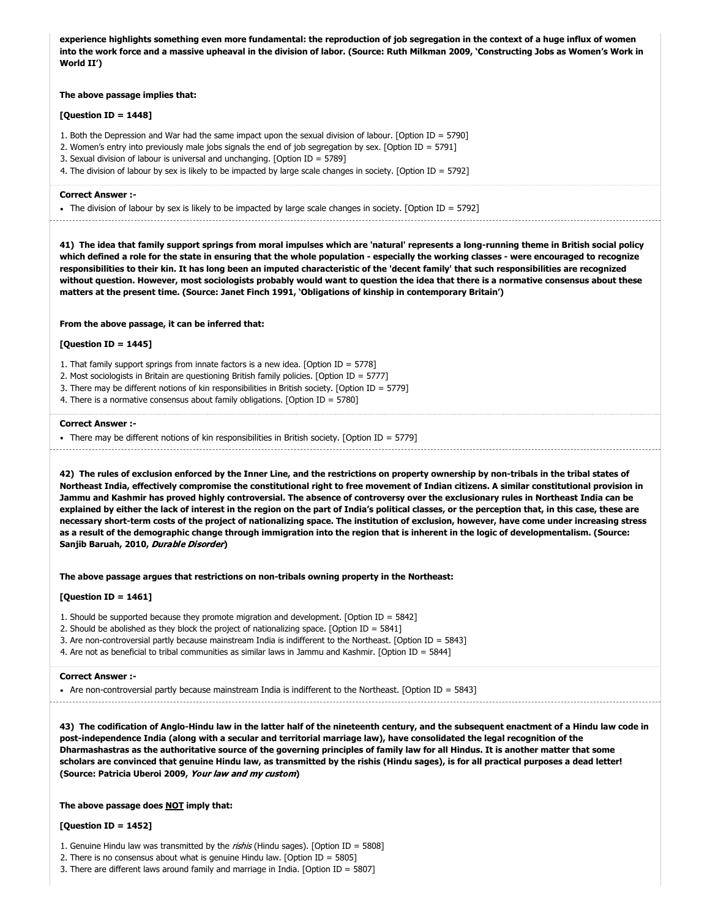**experience highlights something even more fundamental: the reproduction of job segregation in the context of a huge influx of women into the work force and a massive upheaval in the division of labor. (Source: Ruth Milkman 2009, 'Constructing Jobs as Women's Work in World II')**

# **The above passage implies that:**

#### **[Question ID = 1448]**

- 1. Both the Depression and War had the same impact upon the sexual division of labour. [Option ID = 5790]
- 2. Women's entry into previously male jobs signals the end of job segregation by sex. [Option ID = 5791]
- 3. Sexual division of labour is universal and unchanging. [Option ID = 5789]
- 4. The division of labour by sex is likely to be impacted by large scale changes in society. [Option ID = 5792]

# **Correct Answer :-**

The division of labour by sex is likely to be impacted by large scale changes in society. [Option ID = 5792]

**41) The idea that family support springs from moral impulses which are 'natural' represents a long-running theme in British social policy which defined a role for the state in ensuring that the whole population - especially the working classes - were encouraged to recognize responsibilities to their kin. It has long been an imputed characteristic of the 'decent family' that such responsibilities are recognized without question. However, most sociologists probably would want to question the idea that there is a normative consensus about these matters at the present time. (Source: Janet Finch 1991, 'Obligations of kinship in contemporary Britain')**

# **From the above passage, it can be inferred that:**

# **[Question ID = 1445]**

1. That family support springs from innate factors is a new idea. [Option ID = 5778]

- 2. Most sociologists in Britain are questioning British family policies. [Option ID = 5777]
- 3. There may be different notions of kin responsibilities in British society. [Option ID = 5779]
- 4. There is a normative consensus about family obligations. [Option ID = 5780]

#### **Correct Answer :-**

• There may be different notions of kin responsibilities in British society. [Option ID = 5779]

**42) The rules of exclusion enforced by the Inner Line, and the restrictions on property ownership by non-tribals in the tribal states of Northeast India, effectively compromise the constitutional right to free movement of Indian citizens. A similar constitutional provision in Jammu and Kashmir has proved highly controversial. The absence of controversy over the exclusionary rules in Northeast India can be explained by either the lack of interest in the region on the part of India's political classes, or the perception that, in this case, these are necessary short-term costs of the project of nationalizing space. The institution of exclusion, however, have come under increasing stress as a result of the demographic change through immigration into the region that is inherent in the logic of developmentalism. (Source: Sanjib Baruah, 2010,** Durable Disorder**)**

**The above passage argues that restrictions on non-tribals owning property in the Northeast:**

# **[Question ID = 1461]**

- 1. Should be supported because they promote migration and development. [Option ID = 5842]
- 2. Should be abolished as they block the project of nationalizing space. [Option ID = 5841]
- 3. Are non-controversial partly because mainstream India is indifferent to the Northeast. [Option ID = 5843]

4. Are not as beneficial to tribal communities as similar laws in Jammu and Kashmir. [Option ID = 5844]

#### **Correct Answer :-**

Are non-controversial partly because mainstream India is indifferent to the Northeast. [Option ID = 5843]

**43) The codification of Anglo-Hindu law in the latter half of the nineteenth century, and the subsequent enactment of a Hindu law code in post-independence India (along with a secular and territorial marriage law), have consolidated the legal recognition of the Dharmashastras as the authoritative source of the governing principles of family law for all Hindus. It is another matter that some scholars are convinced that genuine Hindu law, as transmitted by the rishis (Hindu sages), is for all practical purposes a dead letter! (Source: Patricia Uberoi 2009,** Your law and my custom**)**

# **The above passage does NOT imply that:**

# **[Question ID = 1452]**

1. Genuine Hindu law was transmitted by the rishis (Hindu sages). [Option ID = 5808]

2. There is no consensus about what is genuine Hindu law. [Option ID = 5805]

3. There are different laws around family and marriage in India. [Option ID = 5807]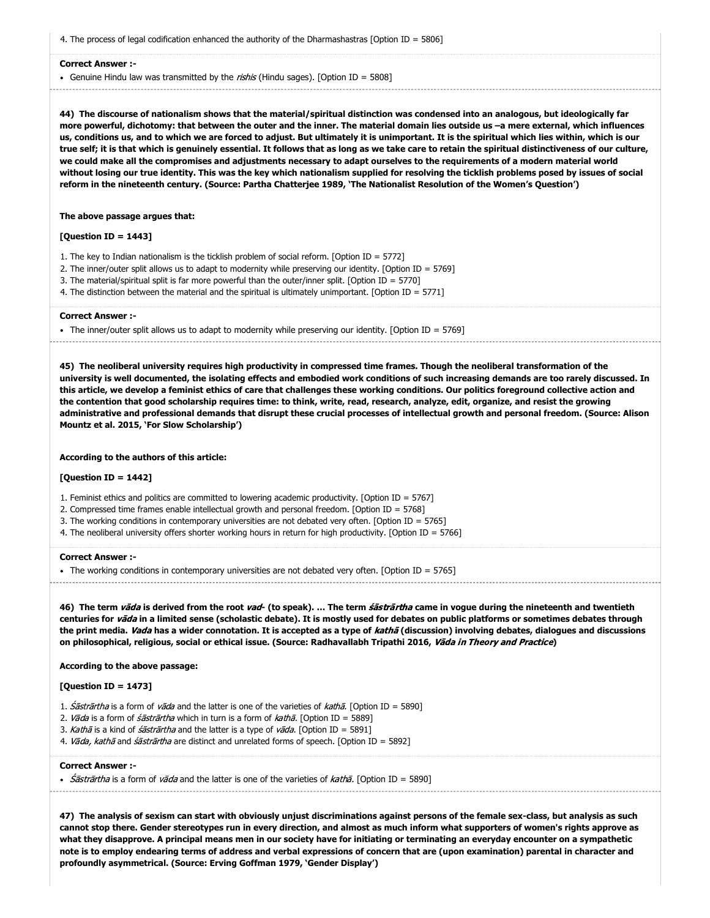4. The process of legal codification enhanced the authority of the Dharmashastras [Option ID = 5806]

#### **Correct Answer :-**

• Genuine Hindu law was transmitted by the rishis (Hindu sages). [Option ID = 5808]

**44) The discourse of nationalism shows that the material/spiritual distinction was condensed into an analogous, but ideologically far more powerful, dichotomy: that between the outer and the inner. The material domain lies outside us –a mere external, which influences us, conditions us, and to which we are forced to adjust. But ultimately it is unimportant. It is the spiritual which lies within, which is our true self; it is that which is genuinely essential. It follows that as long as we take care to retain the spiritual distinctiveness of our culture, we could make all the compromises and adjustments necessary to adapt ourselves to the requirements of a modern material world without losing our true identity. This was the key which nationalism supplied for resolving the ticklish problems posed by issues of social reform in the nineteenth century. (Source: Partha Chatterjee 1989, 'The Nationalist Resolution of the Women's Question')**

# **The above passage argues that:**

# **[Question ID = 1443]**

- 1. The key to Indian nationalism is the ticklish problem of social reform. [Option ID = 5772]
- 2. The inner/outer split allows us to adapt to modernity while preserving our identity. [Option ID = 5769]
- 3. The material/spiritual split is far more powerful than the outer/inner split. [Option ID = 5770]
- 4. The distinction between the material and the spiritual is ultimately unimportant. [Option ID = 5771]

#### **Correct Answer :-**

The inner/outer split allows us to adapt to modernity while preserving our identity. [Option ID = 5769]

**45) The neoliberal university requires high productivity in compressed time frames. Though the neoliberal transformation of the university is well documented, the isolating effects and embodied work conditions of such increasing demands are too rarely discussed. In this article, we develop a feminist ethics of care that challenges these working conditions. Our politics foreground collective action and the contention that good scholarship requires time: to think, write, read, research, analyze, edit, organize, and resist the growing administrative and professional demands that disrupt these crucial processes of intellectual growth and personal freedom. (Source: Alison Mountz et al. 2015, 'For Slow Scholarship')**

**According to the authors of this article:**

# **[Question ID = 1442]**

- 1. Feminist ethics and politics are committed to lowering academic productivity. [Option ID = 5767]
- 2. Compressed time frames enable intellectual growth and personal freedom. [Option ID = 5768]
- 3. The working conditions in contemporary universities are not debated very often. [Option ID = 5765]
- 4. The neoliberal university offers shorter working hours in return for high productivity. [Option ID = 5766]

#### **Correct Answer :-**

• The working conditions in contemporary universities are not debated very often. [Option ID = 5765]

**46) The term** vāda **is derived from the root** vad**- (to speak). … The term** śāstrārtha **came in vogue during the nineteenth and twentieth centuries for** vāda **in a limited sense (scholastic debate). It is mostly used for debates on public platforms or sometimes debates through the print media.** Vada **has a wider connotation. It is accepted as a type of** kathā **(discussion) involving debates, dialogues and discussions on philosophical, religious, social or ethical issue. (Source: Radhavallabh Tripathi 2016,** Vāda in Theory and Practice**)**

#### **According to the above passage:**

# **[Question ID = 1473]**

- 1. *Śāstrārtha* is a form of *vāda* and the latter is one of the varieties of *kathā*. [Option ID = 5890]
- 2. Vāda is a form of *śāstrārtha* which in turn is a form of  $kath\bar{a}$ . [Option ID = 5889]
- 3. Kathā is a kind of *śāstrārtha* and the latter is a type of *vāda*. [Option ID = 5891]
- 4. Vāda, kathā and śāstrārtha are distinct and unrelated forms of speech. [Option ID = 5892]

# **Correct Answer :-**

• *Śāstrārtha* is a form of *vāda* and the latter is one of the varieties of *kathā*. [Option ID = 5890]

**47) The analysis of sexism can start with obviously unjust discriminations against persons of the female sex-class, but analysis as such cannot stop there. Gender stereotypes run in every direction, and almost as much inform what supporters of women's rights approve as what they disapprove. A principal means men in our society have for initiating or terminating an everyday encounter on a sympathetic note is to employ endearing terms of address and verbal expressions of concern that are (upon examination) parental in character and profoundly asymmetrical. (Source: Erving Goffman 1979, 'Gender Display')**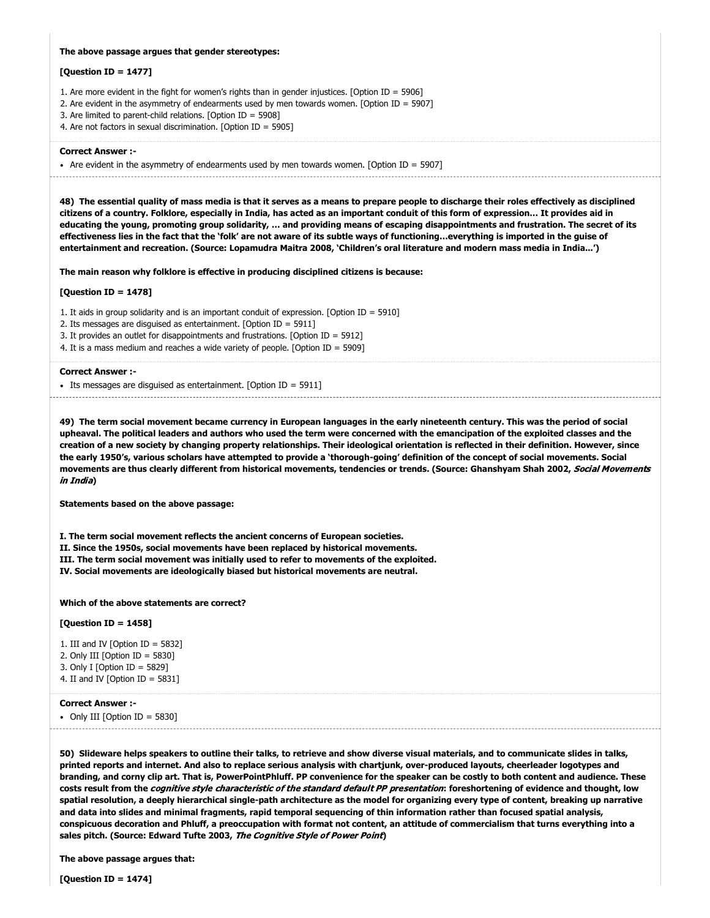# **The above passage argues that gender stereotypes:**

#### **[Question ID = 1477]**

1. Are more evident in the fight for women's rights than in gender injustices. [Option ID = 5906]

- 2. Are evident in the asymmetry of endearments used by men towards women. [Option ID = 5907]
- 3. Are limited to parent-child relations. [Option ID = 5908]

4. Are not factors in sexual discrimination. [Option ID = 5905]

#### **Correct Answer :-**

• Are evident in the asymmetry of endearments used by men towards women. [Option ID = 5907] 

**48) The essential quality of mass media is that it serves as a means to prepare people to discharge their roles effectively as disciplined citizens of a country. Folklore, especially in India, has acted as an important conduit of this form of expression… It provides aid in educating the young, promoting group solidarity, … and providing means of escaping disappointments and frustration. The secret of its effectiveness lies in the fact that the 'folk' are not aware of its subtle ways of functioning…everything is imported in the guise of entertainment and recreation. (Source: Lopamudra Maitra 2008, 'Children's oral literature and modern mass media in India...')**

**The main reason why folklore is effective in producing disciplined citizens is because:**

# **[Question ID = 1478]**

1. It aids in group solidarity and is an important conduit of expression. [Option ID = 5910]

- 2. Its messages are disguised as entertainment. [Option ID = 5911]
- 3. It provides an outlet for disappointments and frustrations. [Option ID = 5912]
- 4. It is a mass medium and reaches a wide variety of people. [Option ID = 5909]

#### **Correct Answer :-**

Its messages are disguised as entertainment. [Option ID = 5911]

**49) The term social movement became currency in European languages in the early nineteenth century. This was the period of social upheaval. The political leaders and authors who used the term were concerned with the emancipation of the exploited classes and the creation of a new society by changing property relationships. Their ideological orientation is reflected in their definition. However, since the early 1950's, various scholars have attempted to provide a 'thorough-going' definition of the concept of social movements. Social movements are thus clearly different from historical movements, tendencies or trends. (Source: Ghanshyam Shah 2002,** Social Movements in India**)**

**Statements based on the above passage:**

**I. The term social movement reflects the ancient concerns of European societies. II. Since the 1950s, social movements have been replaced by historical movements. III. The term social movement was initially used to refer to movements of the exploited. IV. Social movements are ideologically biased but historical movements are neutral.**

# **Which of the above statements are correct?**

#### **[Question ID = 1458]**

1. III and IV [Option ID =  $5832$ ]

- 2. Only III [Option ID = 5830]
- 3. Only I [Option ID = 5829]
- 4. II and IV [Option ID = 5831]

#### **Correct Answer :-**

• Only III [Option ID = 5830]

**50) Slideware helps speakers to outline their talks, to retrieve and show diverse visual materials, and to communicate slides in talks, printed reports and internet. And also to replace serious analysis with chartjunk, over-produced layouts, cheerleader logotypes and branding, and corny clip art. That is, PowerPointPhluff. PP convenience for the speaker can be costly to both content and audience. These costs result from the** cognitive style characteristic of the standard default PP presentation**: foreshortening of evidence and thought, low spatial resolution, a deeply hierarchical single-path architecture as the model for organizing every type of content, breaking up narrative and data into slides and minimal fragments, rapid temporal sequencing of thin information rather than focused spatial analysis, conspicuous decoration and Phluff, a preoccupation with format not content, an attitude of commercialism that turns everything into a sales pitch. (Source: Edward Tufte 2003,** The Cognitive Style of Power Point**)**

**The above passage argues that:**